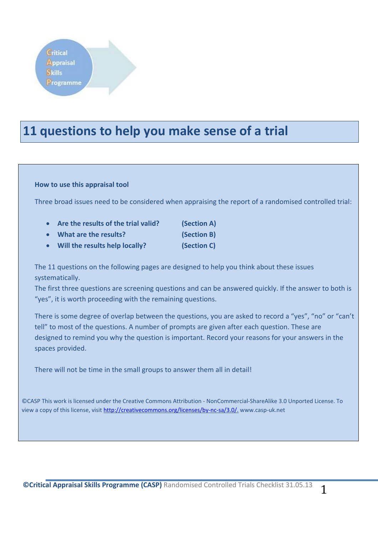# **11 questions to help you make sense of a trial**

### **How to use this appraisal tool**

Three broad issues need to be considered when appraising the report of a randomised controlled trial:

- **Are the results of the trial valid? (Section A)**
- **What are the results? (Section B)**
- 
- **Will the results help locally? (Section C)**

The 11 questions on the following pages are designed to help you think about these issues systematically.

The first three questions are screening questions and can be answered quickly. If the answer to both is "yes", it is worth proceeding with the remaining questions.

There is some degree of overlap between the questions, you are asked to record a "yes", "no" or "can't tell" to most of the questions. A number of prompts are given after each question. These are designed to remind you why the question is important. Record your reasons for your answers in the spaces provided.

There will not be time in the small groups to answer them all in detail!

©CASP This work is licensed under the Creative Commons Attribution - NonCommercial-ShareAlike 3.0 Unported License. To view a copy of this license, visit [http://creativecommons.org/licenses/by-nc-sa/3.0/.](http://creativecommons.org/licenses/by-nc-sa/3.0/) www.casp-uk.net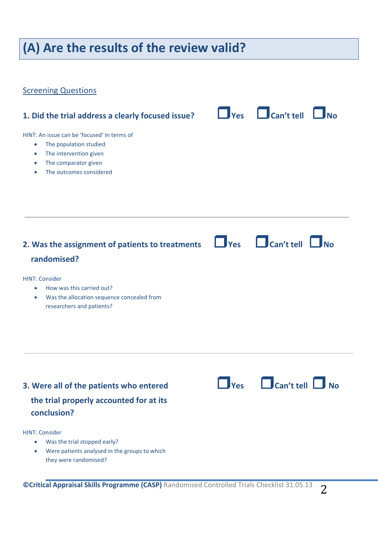# **(A) Are the results of the review valid?**

### **Screening Questions**

**1. Did the trial address a clearly focused issue?**  $\Box$  **Yes**  $\Box$  **Can't tell**  $\Box$  **No** HINT: An issue can be 'focused' In terms of • The population studied • The intervention given • The comparator given • The outcomes considered **2. Was the assignment of patients to treatments Yes Can't tell No randomised?**  HINT: Consider • How was this carried out? Was the allocation sequence concealed from researchers and patients?

## **3. Were all of the patients who entered Yes Can't tell No the trial properly accounted for at its conclusion?**

HINT: Consider

- Was the trial stopped early?
- Were patients analysed in the groups to which they were randomised?

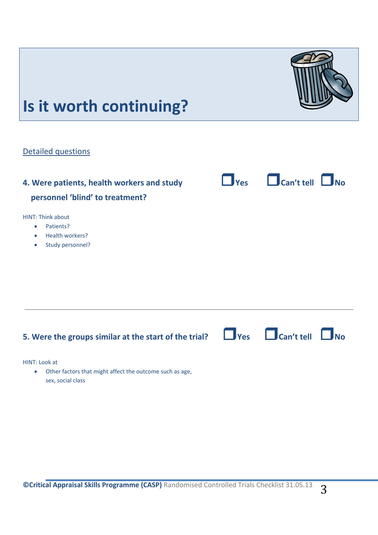# **5. Were the groups similar at the start of the trial? Yes Can't tell No** HINT: Look at Other factors that might affect the outcome such as age, sex, social class



HINT: Think about

• Patients?

Detailed questions

- Health workers?
- Study personnel?

**Is it worth continuing?** 

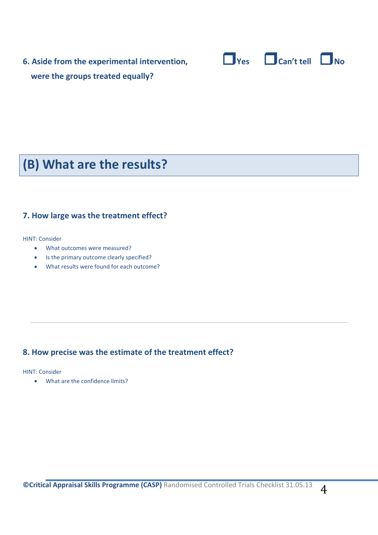**6. Aside from the experimental intervention, Yes Can't tell No were the groups treated equally?** 





# **(B) What are the results?**

### **7. How large was the treatment effect?**

HINT: Consider

- What outcomes were measured?
- Is the primary outcome clearly specified?
- What results were found for each outcome?

### **8. How precise was the estimate of the treatment effect?**

HINT: Consider

What are the confidence limits?